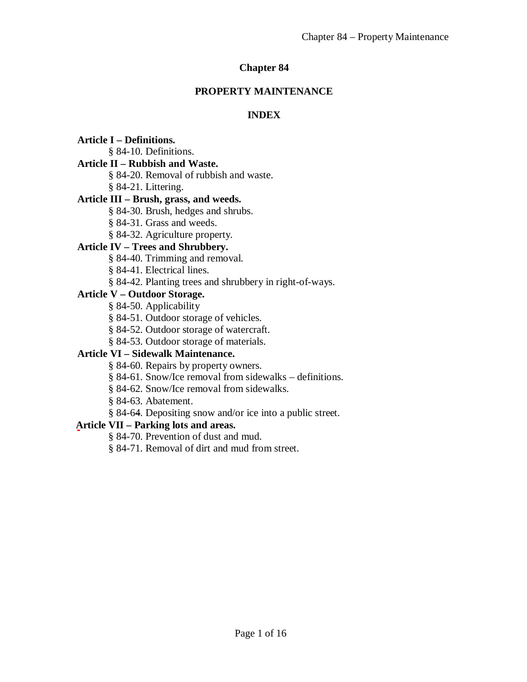## **Chapter 84**

### **PROPERTY MAINTENANCE**

# **INDEX**

**Article I – Definitions.**

§ 84-10. Definitions.

# **Article II – Rubbish and Waste.**

§ 84-20. Removal of rubbish and waste.

§ 84-21. Littering.

# **Article III – Brush, grass, and weeds.**

§ 84-30. Brush, hedges and shrubs.

§ 84-31. Grass and weeds.

§ 84-32. Agriculture property.

# **Article IV – Trees and Shrubbery.**

§ 84-40. Trimming and removal.

§ 84-41. Electrical lines.

# § 84-42. Planting trees and shrubbery in right-of-ways.

# **Article V – Outdoor Storage.**

§ 84-50. Applicability

§ 84-51. Outdoor storage of vehicles.

§ 84-52. Outdoor storage of watercraft.

§ 84-53. Outdoor storage of materials.

# **Article VI – Sidewalk Maintenance.**

§ 84-60. Repairs by property owners.

§ 84-61. Snow/Ice removal from sidewalks – definitions.

§ 84-62. Snow/Ice removal from sidewalks.

§ 84-63. Abatement.

§ 84-64. Depositing snow and/or ice into a public street.

# **Article VII – Parking lots and areas.**

§ 84-70. Prevention of dust and mud.

§ 84-71. Removal of dirt and mud from street.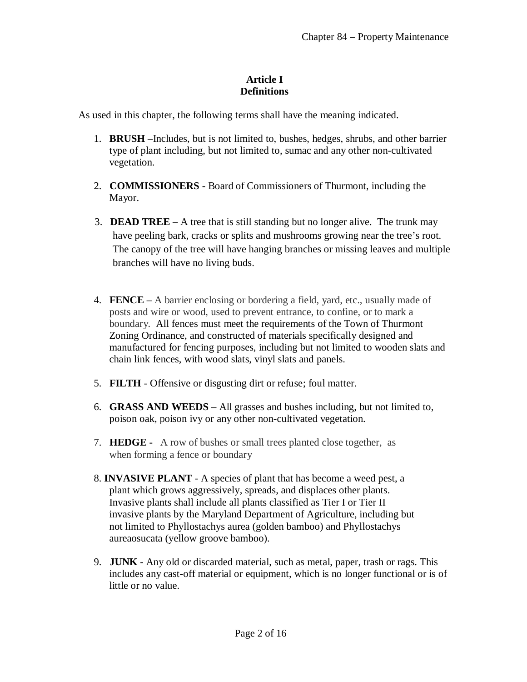### **Article I Definitions**

As used in this chapter, the following terms shall have the meaning indicated.

- 1. **BRUSH** –Includes, but is not limited to, bushes, hedges, shrubs, and other barrier type of plant including, but not limited to, sumac and any other non-cultivated vegetation.
- 2. **COMMISSIONERS -** Board of Commissioners of Thurmont, including the Mayor.
- 3. **DEAD TREE** A tree that is still standing but no longer alive. The trunk may have peeling bark, cracks or splits and mushrooms growing near the tree's root. The canopy of the tree will have hanging branches or missing leaves and multiple branches will have no living buds.
- 4. **FENCE** A barrier enclosing or bordering a field, yard, etc., usually made of posts and wire or wood, used to prevent entrance, to confine, or to mark a boundary. All fences must meet the requirements of the Town of Thurmont Zoning Ordinance, and constructed of materials specifically designed and manufactured for fencing purposes, including but not limited to wooden slats and chain link fences, with wood slats, vinyl slats and panels.
- 5. **FILTH** Offensive or disgusting dirt or refuse; foul matter.
- 6. **GRASS AND WEEDS** All grasses and bushes including, but not limited to, poison oak, poison ivy or any other non-cultivated vegetation.
- 7. **HEDGE -** A row of bushes or small trees planted close together, as when forming a fence or boundary
- 8. **INVASIVE PLANT** A species of plant that has become a weed pest, a plant which grows aggressively, spreads, and displaces other plants. Invasive plants shall include all plants classified as Tier I or Tier II invasive plants by the Maryland Department of Agriculture, including but not limited to Phyllostachys aurea (golden bamboo) and Phyllostachys aureaosucata (yellow groove bamboo).
- 9. **JUNK** Any old or discarded material, such as metal, paper, trash or rags. This includes any cast-off material or equipment, which is no longer functional or is of little or no value.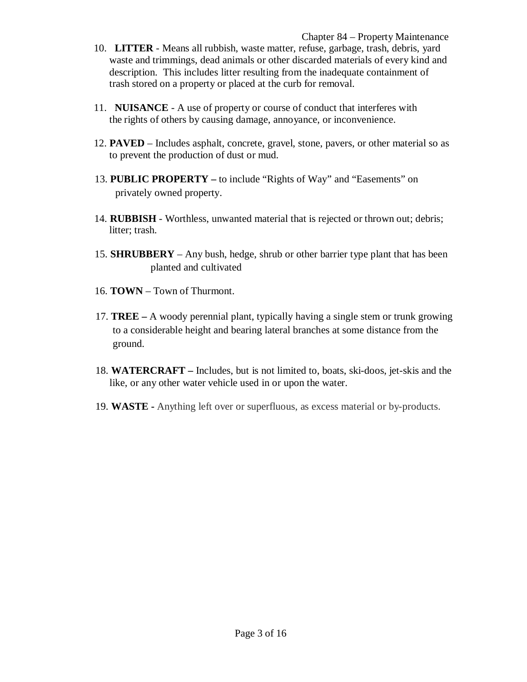- 10. **LITTER** Means all rubbish, waste matter, refuse, garbage, trash, debris, yard waste and trimmings, dead animals or other discarded materials of every kind and description. This includes litter resulting from the inadequate containment of trash stored on a property or placed at the curb for removal.
- 11. **NUISANCE** A use of property or course of conduct that interferes with the rights of others by causing damage, annoyance, or inconvenience.
- 12. **PAVED** Includes asphalt, concrete, gravel, stone, pavers, or other material so as to prevent the production of dust or mud.
- 13. **PUBLIC PROPERTY –** to include "Rights of Way" and "Easements" on privately owned property.
- 14. **RUBBISH** Worthless, unwanted material that is rejected or thrown out; debris; litter; trash.
- 15. **SHRUBBERY** Any bush, hedge, shrub or other barrier type plant that has been planted and cultivated
- 16. **TOWN** Town of Thurmont.
- 17. **TREE –** A woody perennial plant, typically having a single stem or trunk growing to a considerable height and bearing lateral branches at some distance from the ground.
- 18. **WATERCRAFT –** Includes, but is not limited to, boats, ski-doos, jet-skis and the like, or any other water vehicle used in or upon the water.
- 19. **WASTE -** Anything left over or superfluous, as excess material or by-products.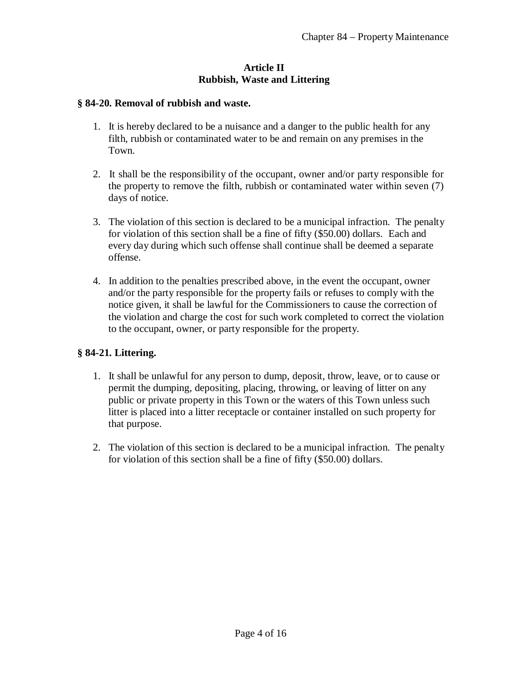#### **Article II Rubbish, Waste and Littering**

#### **§ 84-20. Removal of rubbish and waste.**

- 1. It is hereby declared to be a nuisance and a danger to the public health for any filth, rubbish or contaminated water to be and remain on any premises in the Town.
- 2. It shall be the responsibility of the occupant, owner and/or party responsible for the property to remove the filth, rubbish or contaminated water within seven (7) days of notice.
- 3. The violation of this section is declared to be a municipal infraction. The penalty for violation of this section shall be a fine of fifty (\$50.00) dollars. Each and every day during which such offense shall continue shall be deemed a separate offense.
- 4. In addition to the penalties prescribed above, in the event the occupant, owner and/or the party responsible for the property fails or refuses to comply with the notice given, it shall be lawful for the Commissioners to cause the correction of the violation and charge the cost for such work completed to correct the violation to the occupant, owner, or party responsible for the property.

### **§ 84-21. Littering.**

- 1. It shall be unlawful for any person to dump, deposit, throw, leave, or to cause or permit the dumping, depositing, placing, throwing, or leaving of litter on any public or private property in this Town or the waters of this Town unless such litter is placed into a litter receptacle or container installed on such property for that purpose.
- 2. The violation of this section is declared to be a municipal infraction. The penalty for violation of this section shall be a fine of fifty (\$50.00) dollars.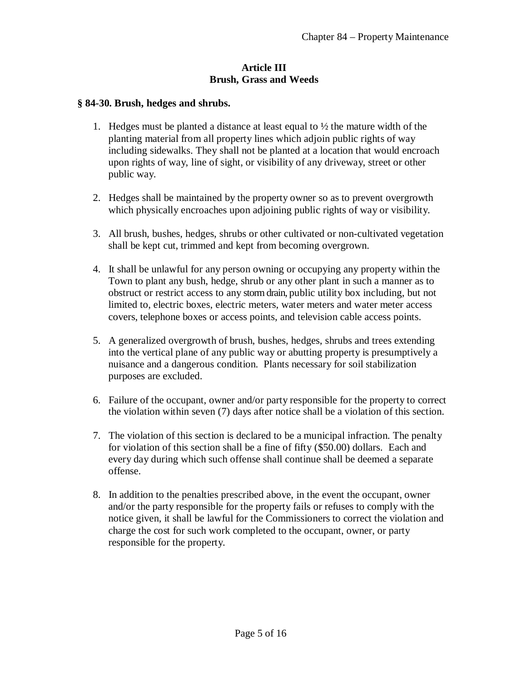#### **Article III Brush, Grass and Weeds**

#### **§ 84-30. Brush, hedges and shrubs.**

- 1. Hedges must be planted a distance at least equal to ½ the mature width of the planting material from all property lines which adjoin public rights of way including sidewalks. They shall not be planted at a location that would encroach upon rights of way, line of sight, or visibility of any driveway, street or other public way.
- 2. Hedges shall be maintained by the property owner so as to prevent overgrowth which physically encroaches upon adjoining public rights of way or visibility.
- 3. All brush, bushes, hedges, shrubs or other cultivated or non-cultivated vegetation shall be kept cut, trimmed and kept from becoming overgrown.
- 4. It shall be unlawful for any person owning or occupying any property within the Town to plant any bush, hedge, shrub or any other plant in such a manner as to obstruct or restrict access to any storm drain, public utility box including, but not limited to, electric boxes, electric meters, water meters and water meter access covers, telephone boxes or access points, and television cable access points.
- 5. A generalized overgrowth of brush, bushes, hedges, shrubs and trees extending into the vertical plane of any public way or abutting property is presumptively a nuisance and a dangerous condition. Plants necessary for soil stabilization purposes are excluded.
- 6. Failure of the occupant, owner and/or party responsible for the property to correct the violation within seven (7) days after notice shall be a violation of this section.
- 7. The violation of this section is declared to be a municipal infraction. The penalty for violation of this section shall be a fine of fifty (\$50.00) dollars. Each and every day during which such offense shall continue shall be deemed a separate offense.
- 8. In addition to the penalties prescribed above, in the event the occupant, owner and/or the party responsible for the property fails or refuses to comply with the notice given, it shall be lawful for the Commissioners to correct the violation and charge the cost for such work completed to the occupant, owner, or party responsible for the property.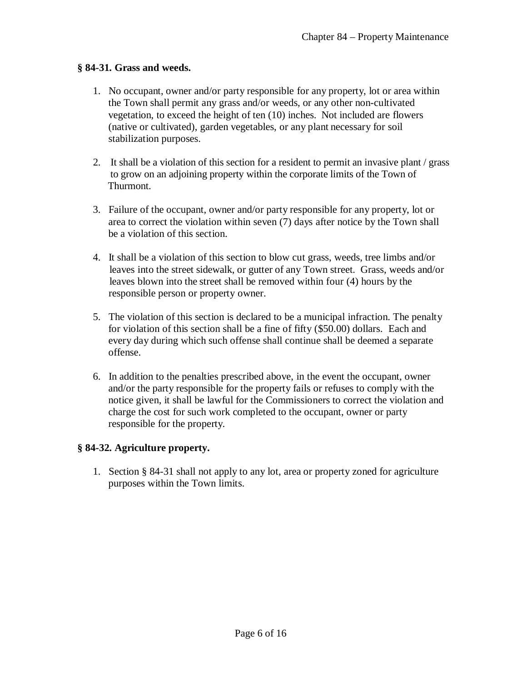### **§ 84-31. Grass and weeds.**

- 1. No occupant, owner and/or party responsible for any property, lot or area within the Town shall permit any grass and/or weeds, or any other non-cultivated vegetation, to exceed the height of ten (10) inches. Not included are flowers (native or cultivated), garden vegetables, or any plant necessary for soil stabilization purposes.
- 2. It shall be a violation of this section for a resident to permit an invasive plant / grass to grow on an adjoining property within the corporate limits of the Town of Thurmont.
- 3. Failure of the occupant, owner and/or party responsible for any property, lot or area to correct the violation within seven (7) days after notice by the Town shall be a violation of this section.
- 4. It shall be a violation of this section to blow cut grass, weeds, tree limbs and/or leaves into the street sidewalk, or gutter of any Town street. Grass, weeds and/or leaves blown into the street shall be removed within four (4) hours by the responsible person or property owner.
- 5. The violation of this section is declared to be a municipal infraction. The penalty for violation of this section shall be a fine of fifty (\$50.00) dollars. Each and every day during which such offense shall continue shall be deemed a separate offense.
- 6. In addition to the penalties prescribed above, in the event the occupant, owner and/or the party responsible for the property fails or refuses to comply with the notice given, it shall be lawful for the Commissioners to correct the violation and charge the cost for such work completed to the occupant, owner or party responsible for the property.

# **§ 84-32. Agriculture property.**

1. Section § 84-31 shall not apply to any lot, area or property zoned for agriculture purposes within the Town limits.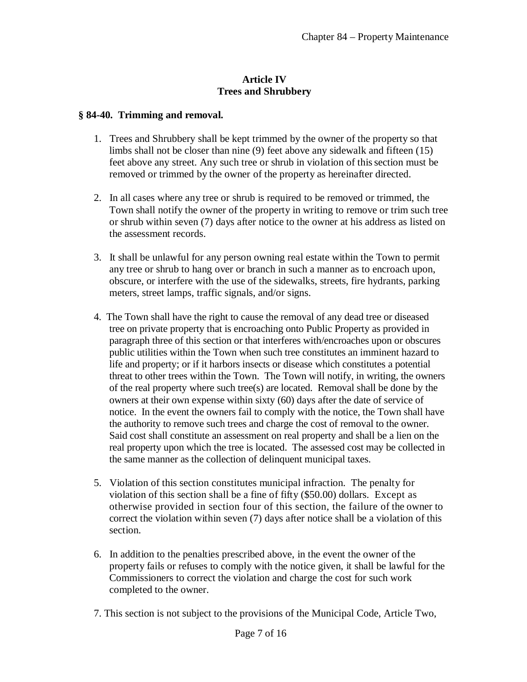### **Article IV Trees and Shrubbery**

#### **§ 84-40. Trimming and removal.**

- 1. Trees and Shrubbery shall be kept trimmed by the owner of the property so that limbs shall not be closer than nine (9) feet above any sidewalk and fifteen (15) feet above any street. Any such tree or shrub in violation of this section must be removed or trimmed by the owner of the property as hereinafter directed.
- 2. In all cases where any tree or shrub is required to be removed or trimmed, the Town shall notify the owner of the property in writing to remove or trim such tree or shrub within seven (7) days after notice to the owner at his address as listed on the assessment records.
- 3. It shall be unlawful for any person owning real estate within the Town to permit any tree or shrub to hang over or branch in such a manner as to encroach upon, obscure, or interfere with the use of the sidewalks, streets, fire hydrants, parking meters, street lamps, traffic signals, and/or signs.
- 4. The Town shall have the right to cause the removal of any dead tree or diseased tree on private property that is encroaching onto Public Property as provided in paragraph three of this section or that interferes with/encroaches upon or obscures public utilities within the Town when such tree constitutes an imminent hazard to life and property; or if it harbors insects or disease which constitutes a potential threat to other trees within the Town. The Town will notify, in writing, the owners of the real property where such tree(s) are located. Removal shall be done by the owners at their own expense within sixty (60) days after the date of service of notice. In the event the owners fail to comply with the notice, the Town shall have the authority to remove such trees and charge the cost of removal to the owner. Said cost shall constitute an assessment on real property and shall be a lien on the real property upon which the tree is located. The assessed cost may be collected in the same manner as the collection of delinquent municipal taxes.
- 5. Violation of this section constitutes municipal infraction. The penalty for violation of this section shall be a fine of fifty (\$50.00) dollars. Except as otherwise provided in section four of this section, the failure of the owner to correct the violation within seven (7) days after notice shall be a violation of this section.
- 6. In addition to the penalties prescribed above, in the event the owner of the property fails or refuses to comply with the notice given, it shall be lawful for the Commissioners to correct the violation and charge the cost for such work completed to the owner.
- 7. This section is not subject to the provisions of the Municipal Code, Article Two,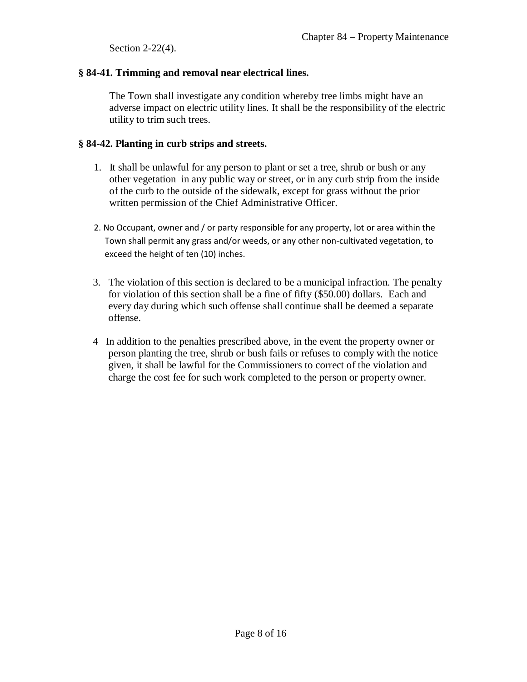Section 2-22(4).

# **§ 84-41. Trimming and removal near electrical lines.**

The Town shall investigate any condition whereby tree limbs might have an adverse impact on electric utility lines. It shall be the responsibility of the electric utility to trim such trees.

# **§ 84-42. Planting in curb strips and streets.**

- 1. It shall be unlawful for any person to plant or set a tree, shrub or bush or any other vegetation in any public way or street, or in any curb strip from the inside of the curb to the outside of the sidewalk, except for grass without the prior written permission of the Chief Administrative Officer.
- 2. No Occupant, owner and / or party responsible for any property, lot or area within the Town shall permit any grass and/or weeds, or any other non-cultivated vegetation, to exceed the height of ten (10) inches.
- 3. The violation of this section is declared to be a municipal infraction. The penalty for violation of this section shall be a fine of fifty (\$50.00) dollars. Each and every day during which such offense shall continue shall be deemed a separate offense.
- 4 In addition to the penalties prescribed above, in the event the property owner or person planting the tree, shrub or bush fails or refuses to comply with the notice given, it shall be lawful for the Commissioners to correct of the violation and charge the cost fee for such work completed to the person or property owner.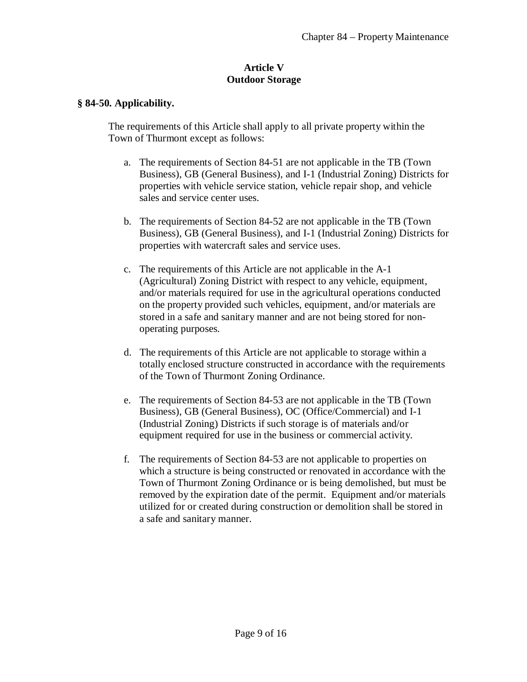#### **Article V Outdoor Storage**

#### **§ 84-50. Applicability.**

The requirements of this Article shall apply to all private property within the Town of Thurmont except as follows:

- a. The requirements of Section 84-51 are not applicable in the TB (Town Business), GB (General Business), and I-1 (Industrial Zoning) Districts for properties with vehicle service station, vehicle repair shop, and vehicle sales and service center uses.
- b. The requirements of Section 84-52 are not applicable in the TB (Town Business), GB (General Business), and I-1 (Industrial Zoning) Districts for properties with watercraft sales and service uses.
- c. The requirements of this Article are not applicable in the A-1 (Agricultural) Zoning District with respect to any vehicle, equipment, and/or materials required for use in the agricultural operations conducted on the property provided such vehicles, equipment, and/or materials are stored in a safe and sanitary manner and are not being stored for nonoperating purposes.
- d. The requirements of this Article are not applicable to storage within a totally enclosed structure constructed in accordance with the requirements of the Town of Thurmont Zoning Ordinance.
- e. The requirements of Section 84-53 are not applicable in the TB (Town Business), GB (General Business), OC (Office/Commercial) and I-1 (Industrial Zoning) Districts if such storage is of materials and/or equipment required for use in the business or commercial activity.
- f. The requirements of Section 84-53 are not applicable to properties on which a structure is being constructed or renovated in accordance with the Town of Thurmont Zoning Ordinance or is being demolished, but must be removed by the expiration date of the permit. Equipment and/or materials utilized for or created during construction or demolition shall be stored in a safe and sanitary manner.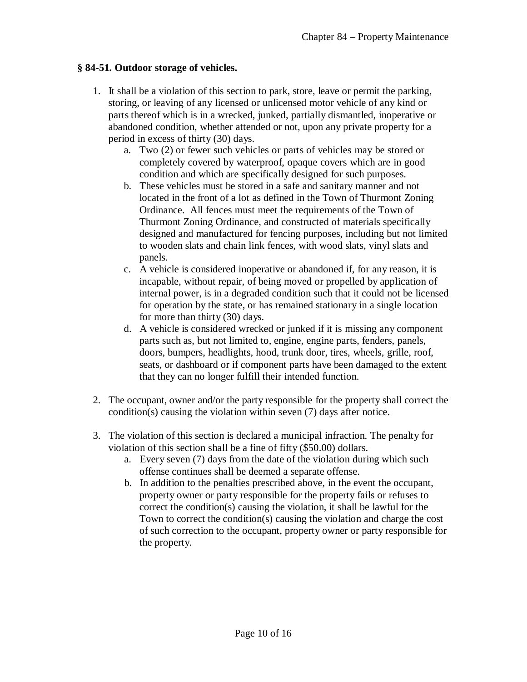### **§ 84-51. Outdoor storage of vehicles.**

- 1. It shall be a violation of this section to park, store, leave or permit the parking, storing, or leaving of any licensed or unlicensed motor vehicle of any kind or parts thereof which is in a wrecked, junked, partially dismantled, inoperative or abandoned condition, whether attended or not, upon any private property for a period in excess of thirty (30) days.
	- a. Two (2) or fewer such vehicles or parts of vehicles may be stored or completely covered by waterproof, opaque covers which are in good condition and which are specifically designed for such purposes.
	- b. These vehicles must be stored in a safe and sanitary manner and not located in the front of a lot as defined in the Town of Thurmont Zoning Ordinance. All fences must meet the requirements of the Town of Thurmont Zoning Ordinance, and constructed of materials specifically designed and manufactured for fencing purposes, including but not limited to wooden slats and chain link fences, with wood slats, vinyl slats and panels.
	- c. A vehicle is considered inoperative or abandoned if, for any reason, it is incapable, without repair, of being moved or propelled by application of internal power, is in a degraded condition such that it could not be licensed for operation by the state, or has remained stationary in a single location for more than thirty (30) days.
	- d. A vehicle is considered wrecked or junked if it is missing any component parts such as, but not limited to, engine, engine parts, fenders, panels, doors, bumpers, headlights, hood, trunk door, tires, wheels, grille, roof, seats, or dashboard or if component parts have been damaged to the extent that they can no longer fulfill their intended function.
- 2. The occupant, owner and/or the party responsible for the property shall correct the condition(s) causing the violation within seven (7) days after notice.
- 3. The violation of this section is declared a municipal infraction. The penalty for violation of this section shall be a fine of fifty (\$50.00) dollars.
	- a. Every seven (7) days from the date of the violation during which such offense continues shall be deemed a separate offense.
	- b. In addition to the penalties prescribed above, in the event the occupant, property owner or party responsible for the property fails or refuses to correct the condition(s) causing the violation, it shall be lawful for the Town to correct the condition(s) causing the violation and charge the cost of such correction to the occupant, property owner or party responsible for the property.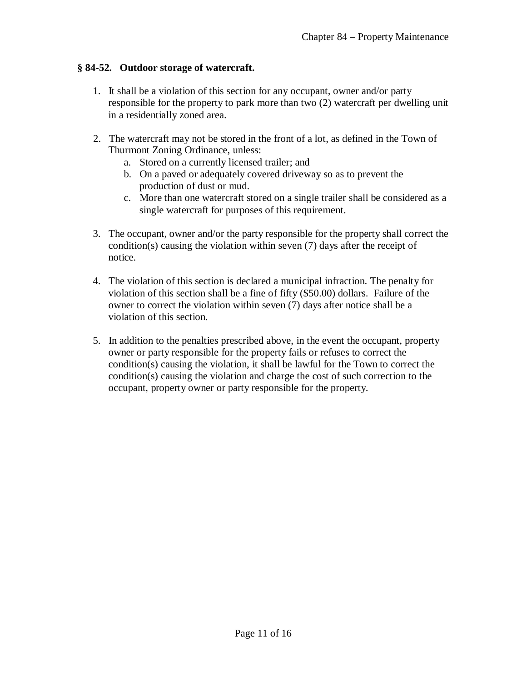## **§ 84-52. Outdoor storage of watercraft.**

- 1. It shall be a violation of this section for any occupant, owner and/or party responsible for the property to park more than two (2) watercraft per dwelling unit in a residentially zoned area.
- 2. The watercraft may not be stored in the front of a lot, as defined in the Town of Thurmont Zoning Ordinance, unless:
	- a. Stored on a currently licensed trailer; and
	- b. On a paved or adequately covered driveway so as to prevent the production of dust or mud.
	- c. More than one watercraft stored on a single trailer shall be considered as a single watercraft for purposes of this requirement.
- 3. The occupant, owner and/or the party responsible for the property shall correct the condition(s) causing the violation within seven (7) days after the receipt of notice.
- 4. The violation of this section is declared a municipal infraction. The penalty for violation of this section shall be a fine of fifty (\$50.00) dollars. Failure of the owner to correct the violation within seven (7) days after notice shall be a violation of this section.
- 5. In addition to the penalties prescribed above, in the event the occupant, property owner or party responsible for the property fails or refuses to correct the condition(s) causing the violation, it shall be lawful for the Town to correct the condition(s) causing the violation and charge the cost of such correction to the occupant, property owner or party responsible for the property.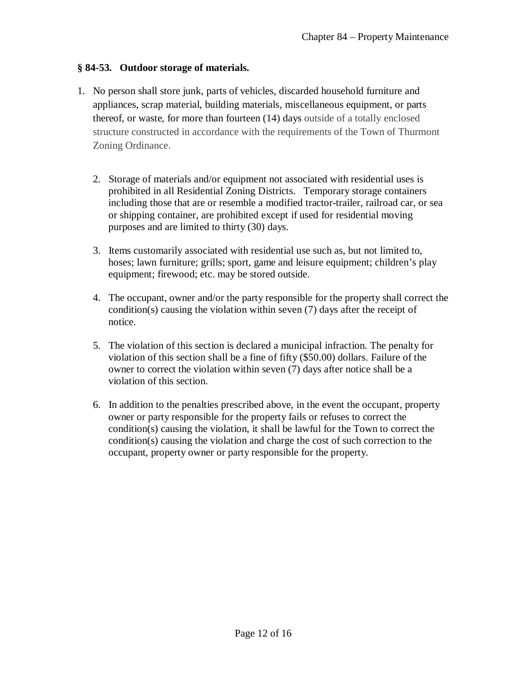## **§ 84-53. Outdoor storage of materials.**

- 1. No person shall store junk, parts of vehicles, discarded household furniture and appliances, scrap material, building materials, miscellaneous equipment, or parts thereof, or waste, for more than fourteen (14) days outside of a totally enclosed structure constructed in accordance with the requirements of the Town of Thurmont Zoning Ordinance.
	- 2. Storage of materials and/or equipment not associated with residential uses is prohibited in all Residential Zoning Districts. Temporary storage containers including those that are or resemble a modified tractor-trailer, railroad car, or sea or shipping container, are prohibited except if used for residential moving purposes and are limited to thirty (30) days.
	- 3. Items customarily associated with residential use such as, but not limited to, hoses; lawn furniture; grills; sport, game and leisure equipment; children's play equipment; firewood; etc. may be stored outside.
	- 4. The occupant, owner and/or the party responsible for the property shall correct the condition(s) causing the violation within seven (7) days after the receipt of notice.
	- 5. The violation of this section is declared a municipal infraction. The penalty for violation of this section shall be a fine of fifty (\$50.00) dollars. Failure of the owner to correct the violation within seven (7) days after notice shall be a violation of this section.
	- 6. In addition to the penalties prescribed above, in the event the occupant, property owner or party responsible for the property fails or refuses to correct the condition(s) causing the violation, it shall be lawful for the Town to correct the condition(s) causing the violation and charge the cost of such correction to the occupant, property owner or party responsible for the property.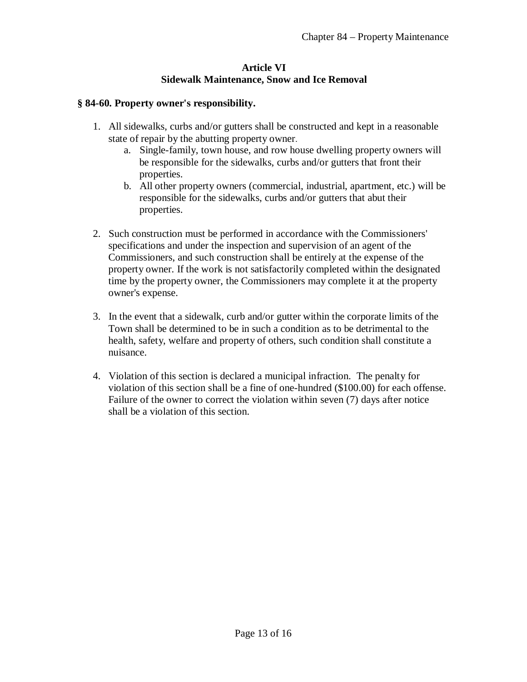### **Article VI Sidewalk Maintenance, Snow and Ice Removal**

## **§ 84-60. Property owner's responsibility.**

- 1. All sidewalks, curbs and/or gutters shall be constructed and kept in a reasonable state of repair by the abutting property owner.
	- a. Single-family, town house, and row house dwelling property owners will be responsible for the sidewalks, curbs and/or gutters that front their properties.
	- b. All other property owners (commercial, industrial, apartment, etc.) will be responsible for the sidewalks, curbs and/or gutters that abut their properties.
- 2. Such construction must be performed in accordance with the Commissioners' specifications and under the inspection and supervision of an agent of the Commissioners, and such construction shall be entirely at the expense of the property owner. If the work is not satisfactorily completed within the designated time by the property owner, the Commissioners may complete it at the property owner's expense.
- 3. In the event that a sidewalk, curb and/or gutter within the corporate limits of the Town shall be determined to be in such a condition as to be detrimental to the health, safety, welfare and property of others, such condition shall constitute a nuisance.
- 4. Violation of this section is declared a municipal infraction. The penalty for violation of this section shall be a fine of one-hundred (\$100.00) for each offense. Failure of the owner to correct the violation within seven (7) days after notice shall be a violation of this section.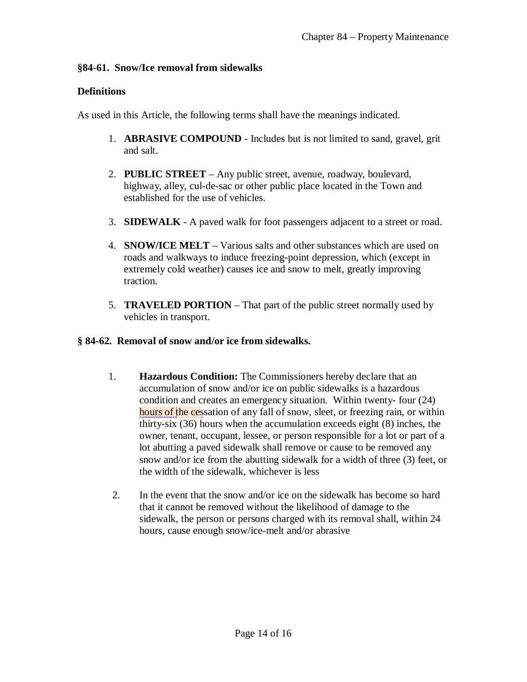### **§84-61. Snow/Ice removal from sidewalks**

# **Definitions**

As used in this Article, the following terms shall have the meanings indicated.

- 1. **ABRASIVE COMPOUND** Includes but is not limited to sand, gravel, grit and salt.
- 2. **PUBLIC STREET** Any public street, avenue, roadway, boulevard, highway, alley, cul-de-sac or other public place located in the Town and established for the use of vehicles.
- 3. **SIDEWALK** A paved walk for foot passengers adjacent to a street or road.
- 4. **SNOW/ICE MELT** Various salts and other substances which are used on roads and walkways to induce freezing-point depression, which (except in extremely cold weather) causes ice and snow to melt, greatly improving traction.
- 5. **TRAVELED PORTION** That part of the public street normally used by vehicles in transport.

## **§ 84-62. Removal of snow and/or ice from sidewalks.**

- 1. **Hazardous Condition:** The Commissioners hereby declare that an accumulation of snow and/or ice on public sidewalks is a hazardous condition and creates an emergency situation. Within twenty- four (24) hours of the cessation of any fall of snow, sleet, or freezing rain, or within thirty-six (36) hours when the accumulation exceeds eight (8) inches, the owner, tenant, occupant, lessee, or person responsible for a lot or part of a lot abutting a paved sidewalk shall remove or cause to be removed any snow and/or ice from the abutting sidewalk for a width of three (3) feet, or the width of the sidewalk, whichever is less
- 2. In the event that the snow and/or ice on the sidewalk has become so hard that it cannot be removed without the likelihood of damage to the sidewalk, the person or persons charged with its removal shall, within 24 hours, cause enough snow/ice-melt and/or abrasive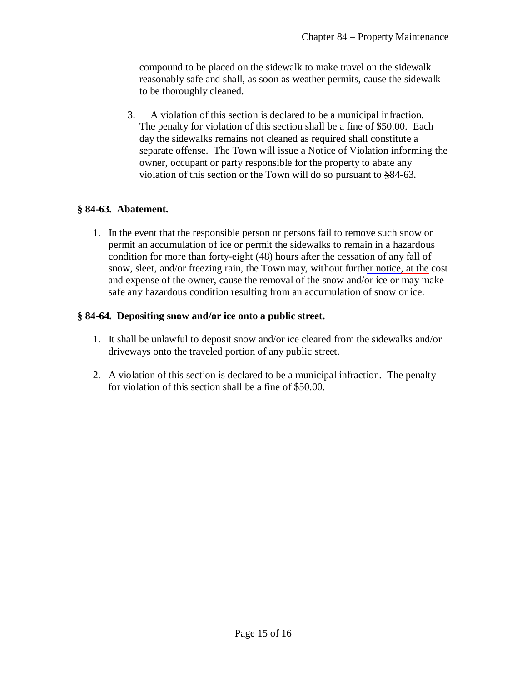compound to be placed on the sidewalk to make travel on the sidewalk reasonably safe and shall, as soon as weather permits, cause the sidewalk to be thoroughly cleaned.

3. A violation of this section is declared to be a municipal infraction. The penalty for violation of this section shall be a fine of \$50.00. Each day the sidewalks remains not cleaned as required shall constitute a separate offense. The Town will issue a Notice of Violation informing the owner, occupant or party responsible for the property to abate any violation of this section or the Town will do so pursuant to §84-63.

### **§ 84-63. Abatement.**

1. In the event that the responsible person or persons fail to remove such snow or permit an accumulation of ice or permit the sidewalks to remain in a hazardous condition for more than forty-eight (48) hours after the cessation of any fall of snow, sleet, and/or freezing rain, the Town may, without further notice, at the cost and expense of the owner, cause the removal of the snow and/or ice or may make safe any hazardous condition resulting from an accumulation of snow or ice.

### **§ 84-64. Depositing snow and/or ice onto a public street.**

- 1. It shall be unlawful to deposit snow and/or ice cleared from the sidewalks and/or driveways onto the traveled portion of any public street.
- 2. A violation of this section is declared to be a municipal infraction. The penalty for violation of this section shall be a fine of \$50.00.